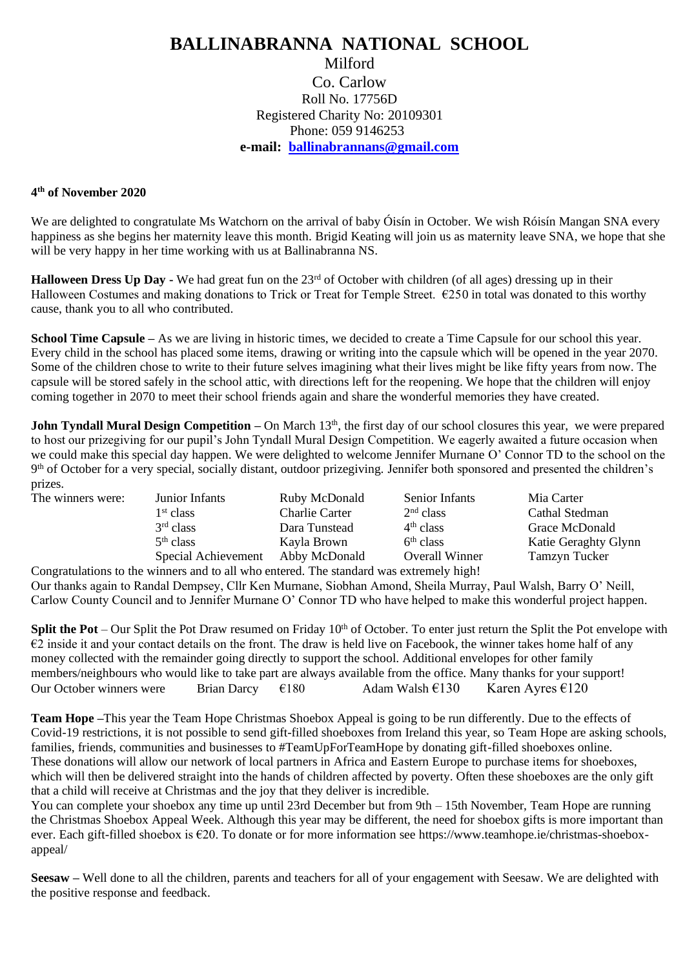## **BALLINABRANNA NATIONAL SCHOOL** Milford Co. Carlow

Roll No. 17756D Registered Charity No: 20109301 Phone: 059 9146253 **e-mail: [ballinabrannans@gmail.com](mailto:ballinabrannans@gmail.com)**

## **4 th of November 2020**

We are delighted to congratulate Ms Watchorn on the arrival of baby Óisín in October. We wish Róisín Mangan SNA every happiness as she begins her maternity leave this month. Brigid Keating will join us as maternity leave SNA, we hope that she will be very happy in her time working with us at Ballinabranna NS.

**Halloween Dress Up Day -** We had great fun on the 23<sup>rd</sup> of October with children (of all ages) dressing up in their Halloween Costumes and making donations to Trick or Treat for Temple Street.  $\epsilon$ 250 in total was donated to this worthy cause, thank you to all who contributed.

**School Time Capsule** – As we are living in historic times, we decided to create a Time Capsule for our school this year. Every child in the school has placed some items, drawing or writing into the capsule which will be opened in the year 2070. Some of the children chose to write to their future selves imagining what their lives might be like fifty years from now. The capsule will be stored safely in the school attic, with directions left for the reopening. We hope that the children will enjoy coming together in 2070 to meet their school friends again and share the wonderful memories they have created.

**John Tyndall Mural Design Competition – On March 13<sup>th</sup>, the first day of our school closures this year, we were prepared** to host our prizegiving for our pupil's John Tyndall Mural Design Competition. We eagerly awaited a future occasion when we could make this special day happen. We were delighted to welcome Jennifer Murnane O' Connor TD to the school on the 9<sup>th</sup> of October for a very special, socially distant, outdoor prizegiving. Jennifer both sponsored and presented the children's prizes.

| The winners were: | Junior Infants        | Ruby McDonald         | Senior Infants        | Mia Carter         |
|-------------------|-----------------------|-----------------------|-----------------------|--------------------|
|                   | 1 <sup>st</sup> class | <b>Charlie Carter</b> | 2 <sup>nd</sup> class | <b>Cathal Sted</b> |
|                   | $3rd$ class           | Dara Tunstead         | 4 <sup>th</sup> class | Grace McD          |
|                   | 5 <sup>th</sup> class | Kayla Brown           | 6 <sup>th</sup> class | Katie Gera         |
|                   | Special Achievement   | Abby McDonald         | Overall Winner        | Tamzyn Tu          |

Charlie Carter 2<sup>nd</sup> class<br>Dara Tunstead 4<sup>th</sup> class Dara Tunstead  $4<sup>th</sup> class$ <br>Kavla Brown  $5<sup>th</sup> class$ 

Cathal Stedman Grace McDonald Katie Geraghty Glynn

Abby McDonald Overall Winner Tamzyn Tucker Congratulations to the winners and to all who entered. The standard was extremely high!

Our thanks again to Randal Dempsey, Cllr Ken Murnane, Siobhan Amond, Sheila Murray, Paul Walsh, Barry O' Neill, Carlow County Council and to Jennifer Murnane O' Connor TD who have helped to make this wonderful project happen.

**Split the Pot** – Our Split the Pot Draw resumed on Friday  $10<sup>th</sup>$  of October. To enter just return the Split the Pot envelope with  $\epsilon$ 2 inside it and your contact details on the front. The draw is held live on Facebook, the winner takes home half of any money collected with the remainder going directly to support the school. Additional envelopes for other family members/neighbours who would like to take part are always available from the office. Many thanks for your support! Our October winners were Brian Darcy  $\epsilon$  180 Adam Walsh  $\epsilon$  130 Karen Ayres  $\epsilon$  120

**Team Hope –**This year the Team Hope Christmas Shoebox Appeal is going to be run differently. Due to the effects of Covid-19 restrictions, it is not possible to send gift-filled shoeboxes from Ireland this year, so Team Hope are asking schools, families, friends, communities and businesses to #TeamUpForTeamHope by donating gift-filled shoeboxes online. These donations will allow our network of local partners in Africa and Eastern Europe to purchase items for shoeboxes, which will then be delivered straight into the hands of children affected by poverty. Often these shoeboxes are the only gift that a child will receive at Christmas and the joy that they deliver is incredible.

You can complete your shoebox any time up until 23rd December but from 9th – 15th November, Team Hope are running the Christmas Shoebox Appeal Week. Although this year may be different, the need for shoebox gifts is more important than ever. Each gift-filled shoebox is €20. To donate or for more information see https://www.teamhope.ie/christmas-shoeboxappeal/

**Seesaw –** Well done to all the children, parents and teachers for all of your engagement with Seesaw. We are delighted with the positive response and feedback.